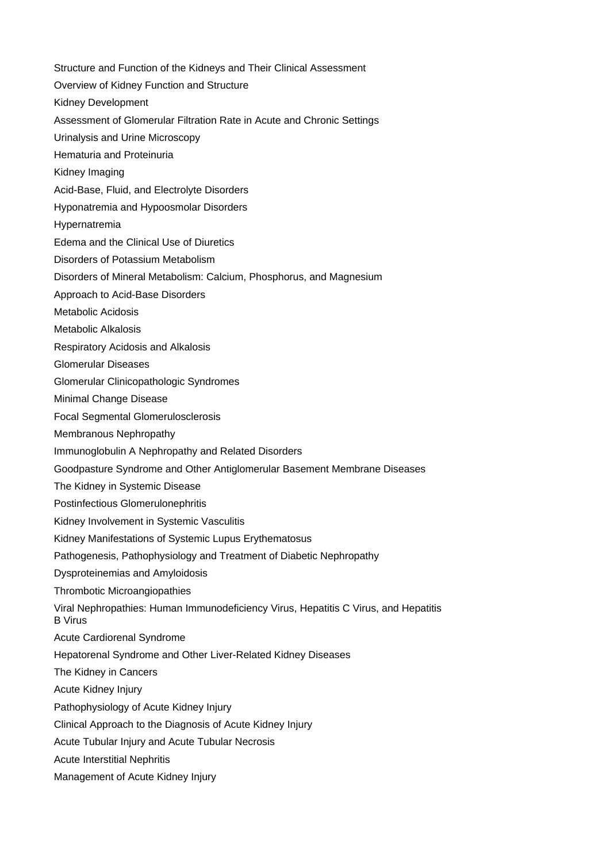Structure and Function of the Kidneys and Their Clinical Assessment Overview of Kidney Function and Structure Kidney Development Assessment of Glomerular Filtration Rate in Acute and Chronic Settings Urinalysis and Urine Microscopy Hematuria and Proteinuria Kidney Imaging Acid-Base, Fluid, and Electrolyte Disorders Hyponatremia and Hypoosmolar Disorders Hypernatremia Edema and the Clinical Use of Diuretics Disorders of Potassium Metabolism Disorders of Mineral Metabolism: Calcium, Phosphorus, and Magnesium Approach to Acid-Base Disorders Metabolic Acidosis Metabolic Alkalosis Respiratory Acidosis and Alkalosis Glomerular Diseases Glomerular Clinicopathologic Syndromes Minimal Change Disease Focal Segmental Glomerulosclerosis Membranous Nephropathy Immunoglobulin A Nephropathy and Related Disorders Goodpasture Syndrome and Other Antiglomerular Basement Membrane Diseases The Kidney in Systemic Disease Postinfectious Glomerulonephritis Kidney Involvement in Systemic Vasculitis Kidney Manifestations of Systemic Lupus Erythematosus Pathogenesis, Pathophysiology and Treatment of Diabetic Nephropathy Dysproteinemias and Amyloidosis Thrombotic Microangiopathies Viral Nephropathies: Human Immunodeficiency Virus, Hepatitis C Virus, and Hepatitis B Virus Acute Cardiorenal Syndrome Hepatorenal Syndrome and Other Liver-Related Kidney Diseases The Kidney in Cancers Acute Kidney Injury Pathophysiology of Acute Kidney Injury Clinical Approach to the Diagnosis of Acute Kidney Injury Acute Tubular Injury and Acute Tubular Necrosis Acute Interstitial Nephritis Management of Acute Kidney Injury